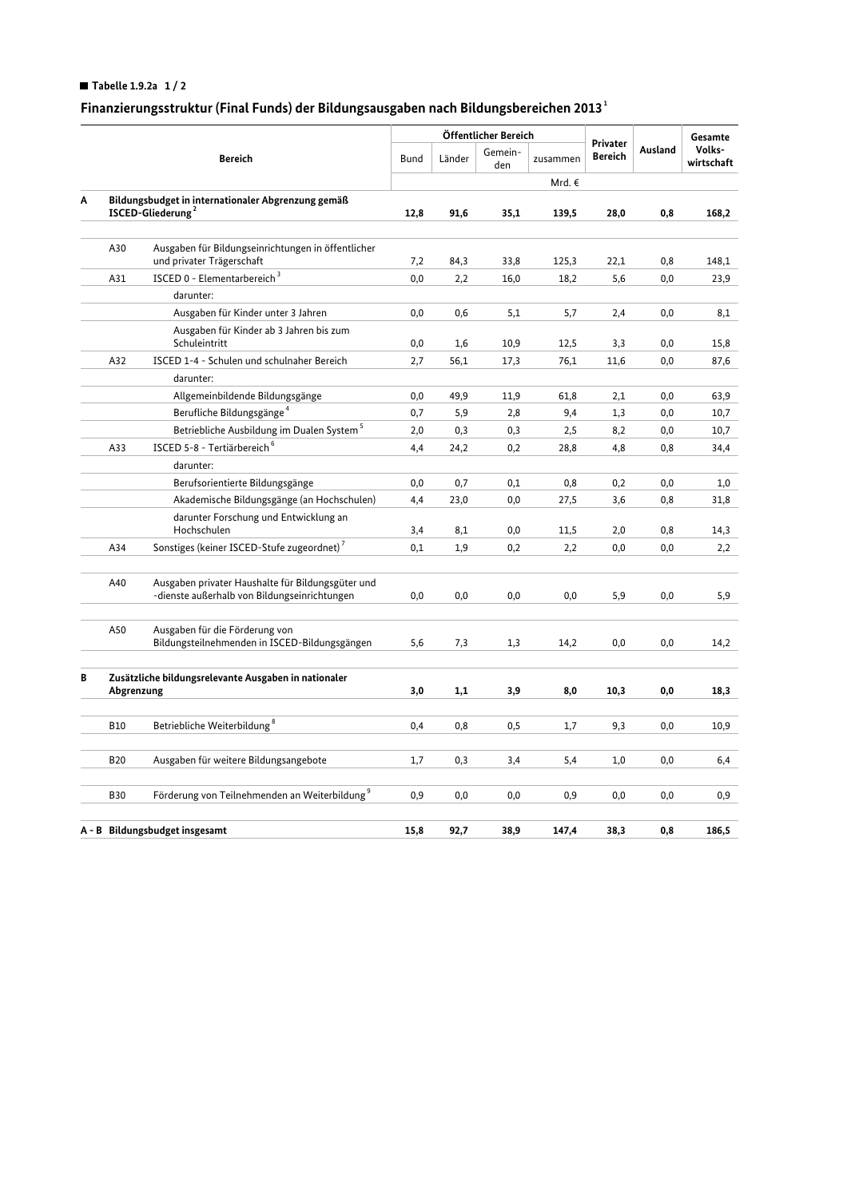## Tabelle 1.9.2a  $1/2$

## Finanzierungsstruktur (Final Funds) der Bildungsausgaben nach Bildungsbereichen 2013 $^{\rm 1}$

|                                |                                                                                     |                                                                                                   |             | Öffentlicher Bereich |                |          |                            |          | Gesamte              |
|--------------------------------|-------------------------------------------------------------------------------------|---------------------------------------------------------------------------------------------------|-------------|----------------------|----------------|----------|----------------------------|----------|----------------------|
|                                | <b>Bereich</b>                                                                      |                                                                                                   | <b>Bund</b> | Länder               | Gemein-<br>den | zusammen | Privater<br><b>Bereich</b> | Ausland  | Volks-<br>wirtschaft |
|                                |                                                                                     |                                                                                                   |             |                      |                | Mrd. €   |                            |          |                      |
| Α                              | Bildungsbudget in internationaler Abgrenzung gemäß<br>ISCED-Gliederung <sup>2</sup> |                                                                                                   | 12,8        | 91,6                 | 35,1           | 139,5    | 28,0                       | 0,8      | 168,2                |
|                                |                                                                                     |                                                                                                   |             |                      |                |          |                            |          |                      |
|                                | A30                                                                                 | Ausgaben für Bildungseinrichtungen in öffentlicher<br>und privater Trägerschaft                   | 7,2         | 84,3                 | 33,8           | 125,3    | 22,1                       | 0,8      | 148,1                |
|                                | A31                                                                                 | ISCED 0 - Elementarbereich <sup>3</sup>                                                           | 0,0         | 2,2                  | 16,0           | 18,2     | 5,6                        | 0,0      | 23,9                 |
|                                |                                                                                     | darunter:                                                                                         |             |                      |                |          |                            |          |                      |
|                                |                                                                                     | Ausgaben für Kinder unter 3 Jahren                                                                | 0,0         | 0,6                  | 5,1            | 5,7      | 2,4                        | 0,0      | 8,1                  |
|                                |                                                                                     | Ausgaben für Kinder ab 3 Jahren bis zum<br>Schuleintritt                                          | 0,0         | 1,6                  | 10,9           | 12,5     | 3,3                        | 0,0      | 15,8                 |
|                                | A32                                                                                 | ISCED 1-4 - Schulen und schulnaher Bereich                                                        | 2,7         | 56,1                 | 17,3           | 76,1     | 11,6                       | 0,0      | 87,6                 |
|                                |                                                                                     | darunter:                                                                                         |             |                      |                |          |                            |          |                      |
|                                |                                                                                     | Allgemeinbildende Bildungsgänge                                                                   | 0,0         | 49,9                 | 11,9           | 61,8     | 2,1                        | 0,0      | 63,9                 |
|                                |                                                                                     | Berufliche Bildungsgänge <sup>4</sup>                                                             | 0,7         | 5,9                  | 2,8            | 9,4      | 1,3                        | 0,0      | 10,7                 |
|                                |                                                                                     | Betriebliche Ausbildung im Dualen System <sup>5</sup>                                             | 2,0         | 0,3                  | 0,3            | 2,5      | 8,2                        | 0,0      | 10,7                 |
|                                | A33                                                                                 | ISCED 5-8 - Tertiärbereich <sup>6</sup>                                                           | 4,4         | 24,2                 | 0,2            | 28,8     | 4,8                        | 0,8      | 34,4                 |
|                                |                                                                                     | darunter:                                                                                         |             |                      |                |          |                            |          |                      |
|                                |                                                                                     | Berufsorientierte Bildungsgänge                                                                   | 0,0         | 0,7                  | 0,1            | 0,8      | 0,2                        | 0,0      | 1,0                  |
|                                |                                                                                     | Akademische Bildungsgänge (an Hochschulen)                                                        | 4,4         | 23,0                 | 0,0            | 27,5     | 3,6                        | 0,8      | 31,8                 |
|                                |                                                                                     | darunter Forschung und Entwicklung an                                                             |             |                      |                |          |                            |          |                      |
|                                |                                                                                     | Hochschulen                                                                                       | 3,4         | 8,1                  | 0,0            | 11,5     | 2,0                        | 0,8      | 14,3                 |
|                                | A34                                                                                 | Sonstiges (keiner ISCED-Stufe zugeordnet) <sup>7</sup>                                            | 0,1         | 1,9                  | 0,2            | 2,2      | 0,0                        | 0,0      | 2,2                  |
|                                | A40                                                                                 | Ausgaben privater Haushalte für Bildungsgüter und<br>-dienste außerhalb von Bildungseinrichtungen | $_{0,0}$    | 0,0                  | 0,0            | 0,0      | 5,9                        | 0,0      | 5,9                  |
|                                | A50                                                                                 | Ausgaben für die Förderung von<br>Bildungsteilnehmenden in ISCED-Bildungsgängen                   | 5,6         | 7,3                  | 1,3            | 14,2     | 0,0                        | 0,0      | 14,2                 |
| В                              | Zusätzliche bildungsrelevante Ausgaben in nationaler<br>Abgrenzung                  |                                                                                                   | 3,0         | 1,1                  | 3,9            | 8,0      | 10,3                       | 0,0      | 18,3                 |
|                                |                                                                                     |                                                                                                   |             |                      |                |          |                            |          |                      |
|                                | <b>B10</b>                                                                          | Betriebliche Weiterbildung <sup>8</sup>                                                           | 0,4         | 0,8                  | 0,5            | 1,7      | 9,3                        | 0,0      | 10,9                 |
|                                | <b>B20</b>                                                                          | Ausgaben für weitere Bildungsangebote                                                             | 1,7         | 0,3                  | 3,4            | 5,4      | 1,0                        | 0,0      | 6,4                  |
|                                | <b>B30</b>                                                                          | Förderung von Teilnehmenden an Weiterbildung <sup>9</sup>                                         | 0,9         | 0,0                  | 0,0            | 0,9      | 0,0                        | 0,0      | 0,9                  |
|                                |                                                                                     |                                                                                                   |             |                      |                |          |                            |          |                      |
| A - B Bildungsbudget insgesamt |                                                                                     |                                                                                                   | 15,8        | 92,7                 | 38.9           | 147.4    | 38,3                       | $_{0,8}$ | 186,5                |